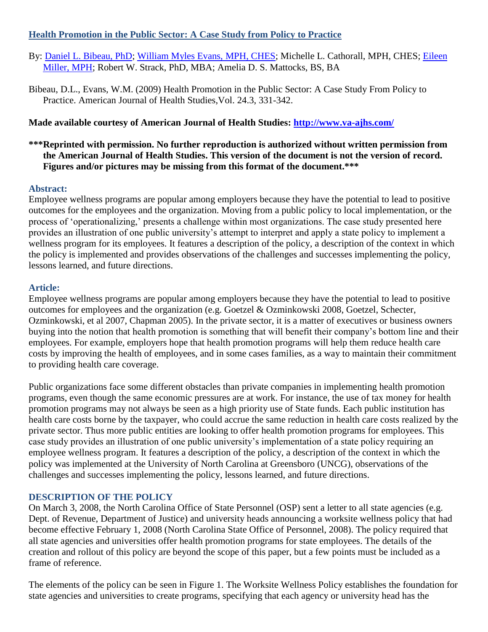## **Health Promotion in the Public Sector: A Case Study from Policy to Practice**

- By: [Daniel L. Bibeau, PhD;](http://libres.uncg.edu/ir/uncg/clist.aspx?id=1545) [William Myles Evans,](http://libres.uncg.edu/ir/uncg/clist.aspx?id=1587) MPH, CHES; Michelle L. Cathorall, MPH, CHES; [Eileen](http://libres.uncg.edu/ir/uncg/clist.aspx?id=3236)  [Miller, MPH;](http://libres.uncg.edu/ir/uncg/clist.aspx?id=3236) Robert W. Strack, PhD, MBA; Amelia D. S. Mattocks, BS, BA
- Bibeau, D.L., Evans, W.M. (2009) Health Promotion in the Public Sector: A Case Study From Policy to Practice. American Journal of Health Studies,Vol. 24.3, 331-342.

## **Made available courtesy of American Journal of Health Studies:<http://www.va-ajhs.com/>**

## **\*\*\*Reprinted with permission. No further reproduction is authorized without written permission from the American Journal of Health Studies. This version of the document is not the version of record. Figures and/or pictures may be missing from this format of the document.\*\*\***

## **Abstract:**

Employee wellness programs are popular among employers because they have the potential to lead to positive outcomes for the employees and the organization. Moving from a public policy to local implementation, or the process of "operationalizing," presents a challenge within most organizations. The case study presented here provides an illustration of one public university"s attempt to interpret and apply a state policy to implement a wellness program for its employees. It features a description of the policy, a description of the context in which the policy is implemented and provides observations of the challenges and successes implementing the policy, lessons learned, and future directions.

## **Article:**

Employee wellness programs are popular among employers because they have the potential to lead to positive outcomes for employees and the organization (e.g. Goetzel & Ozminkowski 2008, Goetzel, Schecter, Ozminkowski, et al 2007, Chapman 2005). In the private sector, it is a matter of executives or business owners buying into the notion that health promotion is something that will benefit their company"s bottom line and their employees. For example, employers hope that health promotion programs will help them reduce health care costs by improving the health of employees, and in some cases families, as a way to maintain their commitment to providing health care coverage.

Public organizations face some different obstacles than private companies in implementing health promotion programs, even though the same economic pressures are at work. For instance, the use of tax money for health promotion programs may not always be seen as a high priority use of State funds. Each public institution has health care costs borne by the taxpayer, who could accrue the same reduction in health care costs realized by the private sector. Thus more public entities are looking to offer health promotion programs for employees. This case study provides an illustration of one public university"s implementation of a state policy requiring an employee wellness program. It features a description of the policy, a description of the context in which the policy was implemented at the University of North Carolina at Greensboro (UNCG), observations of the challenges and successes implementing the policy, lessons learned, and future directions.

#### **DESCRIPTION OF THE POLICY**

On March 3, 2008, the North Carolina Office of State Personnel (OSP) sent a letter to all state agencies (e.g. Dept. of Revenue, Department of Justice) and university heads announcing a worksite wellness policy that had become effective February 1, 2008 (North Carolina State Office of Personnel, 2008). The policy required that all state agencies and universities offer health promotion programs for state employees. The details of the creation and rollout of this policy are beyond the scope of this paper, but a few points must be included as a frame of reference.

The elements of the policy can be seen in Figure 1. The Worksite Wellness Policy establishes the foundation for state agencies and universities to create programs, specifying that each agency or university head has the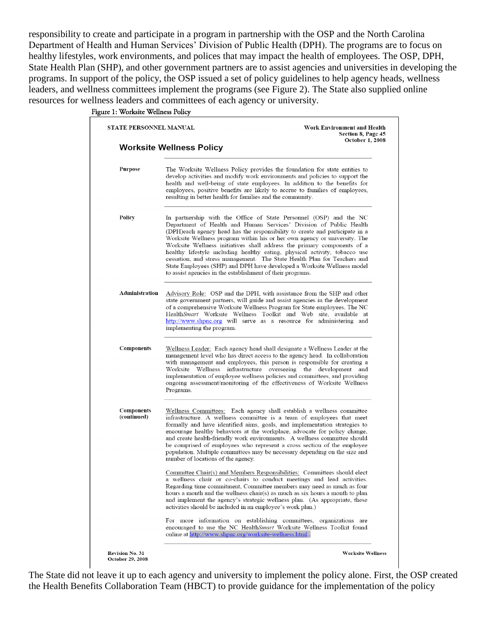responsibility to create and participate in a program in partnership with the OSP and the North Carolina Department of Health and Human Services" Division of Public Health (DPH). The programs are to focus on healthy lifestyles, work environments, and polices that may impact the health of employees. The OSP, DPH, State Health Plan (SHP), and other government partners are to assist agencies and universities in developing the programs. In support of the policy, the OSP issued a set of policy guidelines to help agency heads, wellness leaders, and wellness committees implement the programs (see Figure 2). The State also supplied online resources for wellness leaders and committees of each agency or university.

Figure 1: Worksite Wellness Policy



The State did not leave it up to each agency and university to implement the policy alone. First, the OSP created the Health Benefits Collaboration Team (HBCT) to provide guidance for the implementation of the policy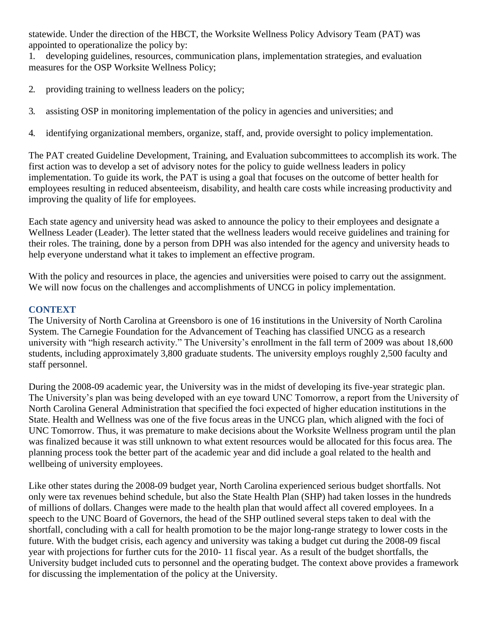statewide. Under the direction of the HBCT, the Worksite Wellness Policy Advisory Team (PAT) was appointed to operationalize the policy by:

1. developing guidelines, resources, communication plans, implementation strategies, and evaluation measures for the OSP Worksite Wellness Policy;

- 2. providing training to wellness leaders on the policy;
- 3. assisting OSP in monitoring implementation of the policy in agencies and universities; and
- 4. identifying organizational members, organize, staff, and, provide oversight to policy implementation.

The PAT created Guideline Development, Training, and Evaluation subcommittees to accomplish its work. The first action was to develop a set of advisory notes for the policy to guide wellness leaders in policy implementation. To guide its work, the PAT is using a goal that focuses on the outcome of better health for employees resulting in reduced absenteeism, disability, and health care costs while increasing productivity and improving the quality of life for employees.

Each state agency and university head was asked to announce the policy to their employees and designate a Wellness Leader (Leader). The letter stated that the wellness leaders would receive guidelines and training for their roles. The training, done by a person from DPH was also intended for the agency and university heads to help everyone understand what it takes to implement an effective program.

With the policy and resources in place, the agencies and universities were poised to carry out the assignment. We will now focus on the challenges and accomplishments of UNCG in policy implementation.

## **CONTEXT**

The University of North Carolina at Greensboro is one of 16 institutions in the University of North Carolina System. The Carnegie Foundation for the Advancement of Teaching has classified UNCG as a research university with "high research activity." The University's enrollment in the fall term of 2009 was about 18,600 students, including approximately 3,800 graduate students. The university employs roughly 2,500 faculty and staff personnel.

During the 2008-09 academic year, the University was in the midst of developing its five-year strategic plan. The University's plan was being developed with an eye toward UNC Tomorrow, a report from the University of North Carolina General Administration that specified the foci expected of higher education institutions in the State. Health and Wellness was one of the five focus areas in the UNCG plan, which aligned with the foci of UNC Tomorrow. Thus, it was premature to make decisions about the Worksite Wellness program until the plan was finalized because it was still unknown to what extent resources would be allocated for this focus area. The planning process took the better part of the academic year and did include a goal related to the health and wellbeing of university employees.

Like other states during the 2008-09 budget year, North Carolina experienced serious budget shortfalls. Not only were tax revenues behind schedule, but also the State Health Plan (SHP) had taken losses in the hundreds of millions of dollars. Changes were made to the health plan that would affect all covered employees. In a speech to the UNC Board of Governors, the head of the SHP outlined several steps taken to deal with the shortfall, concluding with a call for health promotion to be the major long-range strategy to lower costs in the future. With the budget crisis, each agency and university was taking a budget cut during the 2008-09 fiscal year with projections for further cuts for the 2010- 11 fiscal year. As a result of the budget shortfalls, the University budget included cuts to personnel and the operating budget. The context above provides a framework for discussing the implementation of the policy at the University.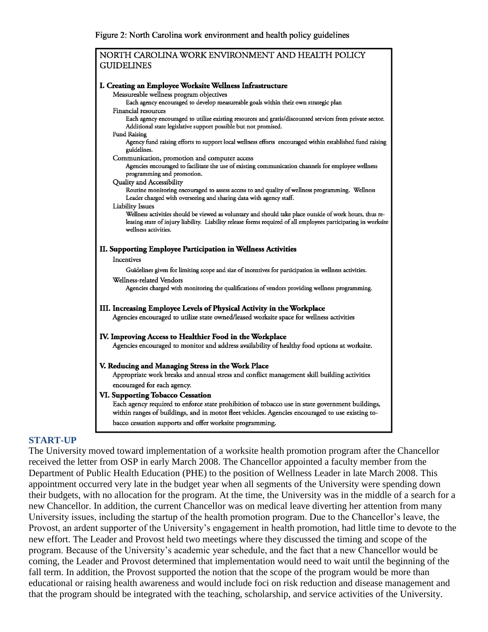Figure 2: North Carolina work environment and health policy guidelines

| NORTH CAROLINA WORK ENVIRONMENT AND HEALTH POLICY                                                                                                                     |
|-----------------------------------------------------------------------------------------------------------------------------------------------------------------------|
| <b>GUIDELINES</b>                                                                                                                                                     |
|                                                                                                                                                                       |
| I. Creating an Employee Worksite Wellness Infrastructure                                                                                                              |
| Measureable wellness program objectives                                                                                                                               |
| Each agency encouraged to develop measureable goals within their own strategic plan                                                                                   |
| Financial resources<br>Each agency encouraged to utilize existing resources and gratis/discounted services from private sector.                                       |
| Additional state legislative support possible but not promised.                                                                                                       |
| <b>Fund Raising</b>                                                                                                                                                   |
| Agency fund raising efforts to support local wellness efforts encouraged within established fund raising<br>guidelines.                                               |
| Communication, promotion and computer access                                                                                                                          |
| Agencies encouraged to facilitate the use of existing communication channels for employee wellness<br>programming and promotion.                                      |
| Quality and Accessibility                                                                                                                                             |
| Routine monitoring encouraged to assess access to and quality of wellness programming. Wellness<br>Leader charged with overseeing and sharing data with agency staff. |
| Liability Issues                                                                                                                                                      |
| Wellness activities should be viewed as voluntary and should take place outside of work hours, thus re-                                                               |
| leasing state of injury liability. Liability release forms required of all employees participating in worksite<br>wellness activities.                                |
|                                                                                                                                                                       |
| II. Supporting Employee Participation in Wellness Activities                                                                                                          |
| Incentives                                                                                                                                                            |
| Guidelines given for limiting scope and size of incentives for participation in wellness activities.                                                                  |
| Wellness-related Vendors                                                                                                                                              |
| Agencies charged with monitoring the qualifications of vendors providing wellness programming.                                                                        |
|                                                                                                                                                                       |
| III. Increasing Employee Levels of Physical Activity in the Workplace                                                                                                 |
| Agencies encouraged to utilize state owned/leased worksite space for wellness activities                                                                              |
| IV. Improving Access to Healthier Food in the Workplace                                                                                                               |
| Agencies encouraged to monitor and address availability of healthy food options at worksite.                                                                          |
|                                                                                                                                                                       |
| V. Reducing and Managing Stress in the Work Place                                                                                                                     |
| Appropriate work breaks and annual stress and conflict management skill building activities                                                                           |
| encouraged for each agency.                                                                                                                                           |
| VI. Supporting Tobacco Cessation                                                                                                                                      |
| Each agency required to enforce state prohibition of tobacco use in state government buildings,                                                                       |
| within ranges of buildings, and in motor fleet vehicles. Agencies encouraged to use existing to-                                                                      |
| bacco cessation supports and offer worksite programming.                                                                                                              |
|                                                                                                                                                                       |

#### **START-UP**

The University moved toward implementation of a worksite health promotion program after the Chancellor received the letter from OSP in early March 2008. The Chancellor appointed a faculty member from the Department of Public Health Education (PHE) to the position of Wellness Leader in late March 2008. This appointment occurred very late in the budget year when all segments of the University were spending down their budgets, with no allocation for the program. At the time, the University was in the middle of a search for a new Chancellor. In addition, the current Chancellor was on medical leave diverting her attention from many University issues, including the startup of the health promotion program. Due to the Chancellor"s leave, the Provost, an ardent supporter of the University's engagement in health promotion, had little time to devote to the new effort. The Leader and Provost held two meetings where they discussed the timing and scope of the program. Because of the University"s academic year schedule, and the fact that a new Chancellor would be coming, the Leader and Provost determined that implementation would need to wait until the beginning of the fall term. In addition, the Provost supported the notion that the scope of the program would be more than educational or raising health awareness and would include foci on risk reduction and disease management and that the program should be integrated with the teaching, scholarship, and service activities of the University.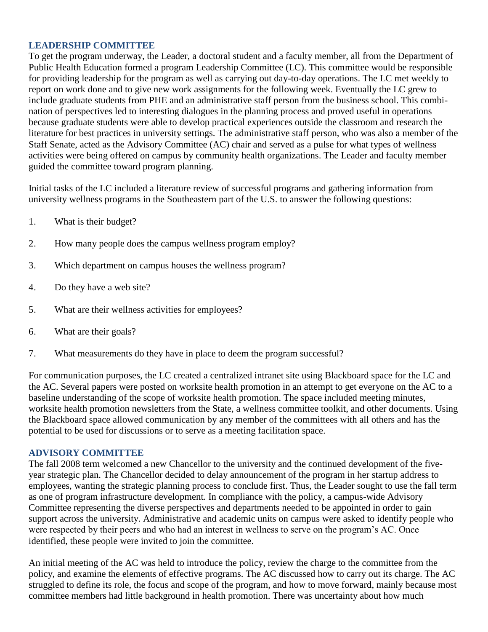## **LEADERSHIP COMMITTEE**

To get the program underway, the Leader, a doctoral student and a faculty member, all from the Department of Public Health Education formed a program Leadership Committee (LC). This committee would be responsible for providing leadership for the program as well as carrying out day-to-day operations. The LC met weekly to report on work done and to give new work assignments for the following week. Eventually the LC grew to include graduate students from PHE and an administrative staff person from the business school. This combination of perspectives led to interesting dialogues in the planning process and proved useful in operations because graduate students were able to develop practical experiences outside the classroom and research the literature for best practices in university settings. The administrative staff person, who was also a member of the Staff Senate, acted as the Advisory Committee (AC) chair and served as a pulse for what types of wellness activities were being offered on campus by community health organizations. The Leader and faculty member guided the committee toward program planning.

Initial tasks of the LC included a literature review of successful programs and gathering information from university wellness programs in the Southeastern part of the U.S. to answer the following questions:

- 1. What is their budget?
- 2. How many people does the campus wellness program employ?
- 3. Which department on campus houses the wellness program?
- 4. Do they have a web site?
- 5. What are their wellness activities for employees?
- 6. What are their goals?
- 7. What measurements do they have in place to deem the program successful?

For communication purposes, the LC created a centralized intranet site using Blackboard space for the LC and the AC. Several papers were posted on worksite health promotion in an attempt to get everyone on the AC to a baseline understanding of the scope of worksite health promotion. The space included meeting minutes, worksite health promotion newsletters from the State, a wellness committee toolkit, and other documents. Using the Blackboard space allowed communication by any member of the committees with all others and has the potential to be used for discussions or to serve as a meeting facilitation space.

#### **ADVISORY COMMITTEE**

The fall 2008 term welcomed a new Chancellor to the university and the continued development of the fiveyear strategic plan. The Chancellor decided to delay announcement of the program in her startup address to employees, wanting the strategic planning process to conclude first. Thus, the Leader sought to use the fall term as one of program infrastructure development. In compliance with the policy, a campus-wide Advisory Committee representing the diverse perspectives and departments needed to be appointed in order to gain support across the university. Administrative and academic units on campus were asked to identify people who were respected by their peers and who had an interest in wellness to serve on the program"s AC. Once identified, these people were invited to join the committee.

An initial meeting of the AC was held to introduce the policy, review the charge to the committee from the policy, and examine the elements of effective programs. The AC discussed how to carry out its charge. The AC struggled to define its role, the focus and scope of the program, and how to move forward, mainly because most committee members had little background in health promotion. There was uncertainty about how much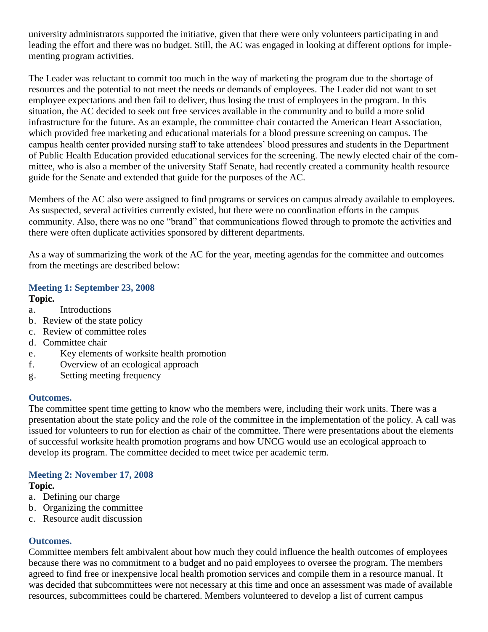university administrators supported the initiative, given that there were only volunteers participating in and leading the effort and there was no budget. Still, the AC was engaged in looking at different options for implementing program activities.

The Leader was reluctant to commit too much in the way of marketing the program due to the shortage of resources and the potential to not meet the needs or demands of employees. The Leader did not want to set employee expectations and then fail to deliver, thus losing the trust of employees in the program. In this situation, the AC decided to seek out free services available in the community and to build a more solid infrastructure for the future. As an example, the committee chair contacted the American Heart Association, which provided free marketing and educational materials for a blood pressure screening on campus. The campus health center provided nursing staff to take attendees" blood pressures and students in the Department of Public Health Education provided educational services for the screening. The newly elected chair of the committee, who is also a member of the university Staff Senate, had recently created a community health resource guide for the Senate and extended that guide for the purposes of the AC.

Members of the AC also were assigned to find programs or services on campus already available to employees. As suspected, several activities currently existed, but there were no coordination efforts in the campus community. Also, there was no one "brand" that communications flowed through to promote the activities and there were often duplicate activities sponsored by different departments.

As a way of summarizing the work of the AC for the year, meeting agendas for the committee and outcomes from the meetings are described below:

#### **Meeting 1: September 23, 2008 Topic.**

- a. Introductions
- b. Review of the state policy
- c. Review of committee roles
- d. Committee chair
- e. Key elements of worksite health promotion
- f. Overview of an ecological approach
- g. Setting meeting frequency

#### **Outcomes.**

The committee spent time getting to know who the members were, including their work units. There was a presentation about the state policy and the role of the committee in the implementation of the policy. A call was issued for volunteers to run for election as chair of the committee. There were presentations about the elements of successful worksite health promotion programs and how UNCG would use an ecological approach to develop its program. The committee decided to meet twice per academic term.

# **Meeting 2: November 17, 2008**

#### **Topic.**

- a. Defining our charge
- b. Organizing the committee
- c. Resource audit discussion

#### **Outcomes.**

Committee members felt ambivalent about how much they could influence the health outcomes of employees because there was no commitment to a budget and no paid employees to oversee the program. The members agreed to find free or inexpensive local health promotion services and compile them in a resource manual. It was decided that subcommittees were not necessary at this time and once an assessment was made of available resources, subcommittees could be chartered. Members volunteered to develop a list of current campus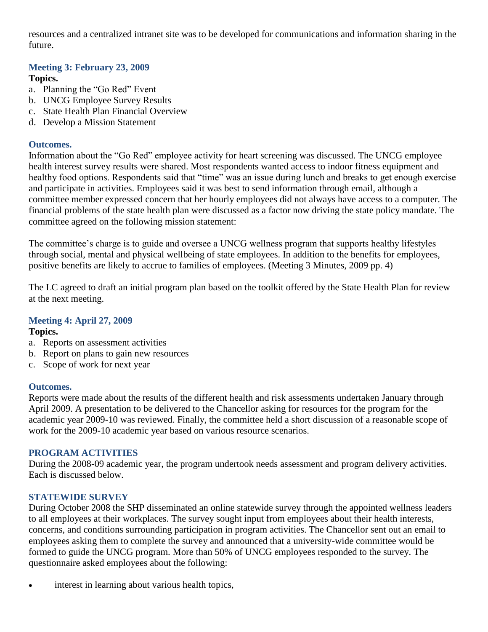resources and a centralized intranet site was to be developed for communications and information sharing in the future.

# **Meeting 3: February 23, 2009**

## **Topics.**

- a. Planning the "Go Red" Event
- b. UNCG Employee Survey Results
- c. State Health Plan Financial Overview
- d. Develop a Mission Statement

## **Outcomes.**

Information about the "Go Red" employee activity for heart screening was discussed. The UNCG employee health interest survey results were shared. Most respondents wanted access to indoor fitness equipment and healthy food options. Respondents said that "time" was an issue during lunch and breaks to get enough exercise and participate in activities. Employees said it was best to send information through email, although a committee member expressed concern that her hourly employees did not always have access to a computer. The financial problems of the state health plan were discussed as a factor now driving the state policy mandate. The committee agreed on the following mission statement:

The committee"s charge is to guide and oversee a UNCG wellness program that supports healthy lifestyles through social, mental and physical wellbeing of state employees. In addition to the benefits for employees, positive benefits are likely to accrue to families of employees. (Meeting 3 Minutes, 2009 pp. 4)

The LC agreed to draft an initial program plan based on the toolkit offered by the State Health Plan for review at the next meeting.

## **Meeting 4: April 27, 2009**

## **Topics.**

- a. Reports on assessment activities
- b. Report on plans to gain new resources
- c. Scope of work for next year

## **Outcomes.**

Reports were made about the results of the different health and risk assessments undertaken January through April 2009. A presentation to be delivered to the Chancellor asking for resources for the program for the academic year 2009-10 was reviewed. Finally, the committee held a short discussion of a reasonable scope of work for the 2009-10 academic year based on various resource scenarios.

#### **PROGRAM ACTIVITIES**

During the 2008-09 academic year, the program undertook needs assessment and program delivery activities. Each is discussed below.

#### **STATEWIDE SURVEY**

During October 2008 the SHP disseminated an online statewide survey through the appointed wellness leaders to all employees at their workplaces. The survey sought input from employees about their health interests, concerns, and conditions surrounding participation in program activities. The Chancellor sent out an email to employees asking them to complete the survey and announced that a university-wide committee would be formed to guide the UNCG program. More than 50% of UNCG employees responded to the survey. The questionnaire asked employees about the following:

 $\bullet$  interest in learning about various health topics,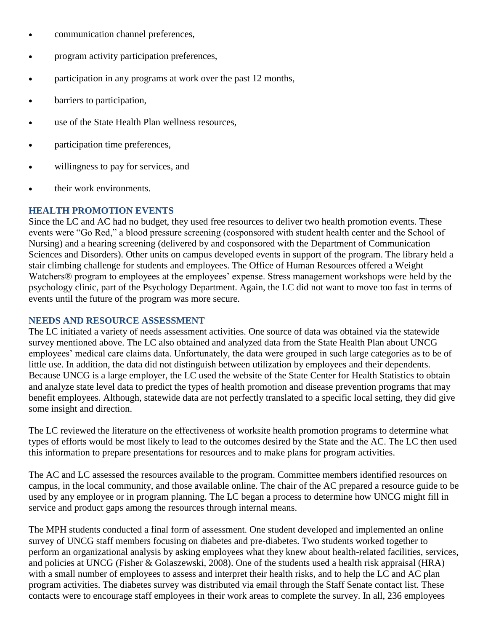- communication channel preferences,
- program activity participation preferences,
- participation in any programs at work over the past 12 months,
- barriers to participation,
- use of the State Health Plan wellness resources,
- participation time preferences,
- willingness to pay for services, and
- their work environments.

## **HEALTH PROMOTION EVENTS**

Since the LC and AC had no budget, they used free resources to deliver two health promotion events. These events were "Go Red," a blood pressure screening (cosponsored with student health center and the School of Nursing) and a hearing screening (delivered by and cosponsored with the Department of Communication Sciences and Disorders). Other units on campus developed events in support of the program. The library held a stair climbing challenge for students and employees. The Office of Human Resources offered a Weight Watchers<sup>®</sup> program to employees at the employees' expense. Stress management workshops were held by the psychology clinic, part of the Psychology Department. Again, the LC did not want to move too fast in terms of events until the future of the program was more secure.

#### **NEEDS AND RESOURCE ASSESSMENT**

The LC initiated a variety of needs assessment activities. One source of data was obtained via the statewide survey mentioned above. The LC also obtained and analyzed data from the State Health Plan about UNCG employees' medical care claims data. Unfortunately, the data were grouped in such large categories as to be of little use. In addition, the data did not distinguish between utilization by employees and their dependents. Because UNCG is a large employer, the LC used the website of the State Center for Health Statistics to obtain and analyze state level data to predict the types of health promotion and disease prevention programs that may benefit employees. Although, statewide data are not perfectly translated to a specific local setting, they did give some insight and direction.

The LC reviewed the literature on the effectiveness of worksite health promotion programs to determine what types of efforts would be most likely to lead to the outcomes desired by the State and the AC. The LC then used this information to prepare presentations for resources and to make plans for program activities.

The AC and LC assessed the resources available to the program. Committee members identified resources on campus, in the local community, and those available online. The chair of the AC prepared a resource guide to be used by any employee or in program planning. The LC began a process to determine how UNCG might fill in service and product gaps among the resources through internal means.

The MPH students conducted a final form of assessment. One student developed and implemented an online survey of UNCG staff members focusing on diabetes and pre-diabetes. Two students worked together to perform an organizational analysis by asking employees what they knew about health-related facilities, services, and policies at UNCG (Fisher & Golaszewski, 2008). One of the students used a health risk appraisal (HRA) with a small number of employees to assess and interpret their health risks, and to help the LC and AC plan program activities. The diabetes survey was distributed via email through the Staff Senate contact list. These contacts were to encourage staff employees in their work areas to complete the survey. In all, 236 employees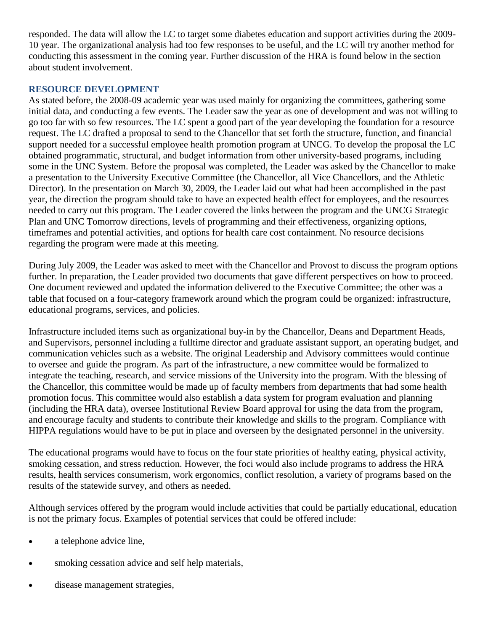responded. The data will allow the LC to target some diabetes education and support activities during the 2009- 10 year. The organizational analysis had too few responses to be useful, and the LC will try another method for conducting this assessment in the coming year. Further discussion of the HRA is found below in the section about student involvement.

## **RESOURCE DEVELOPMENT**

As stated before, the 2008-09 academic year was used mainly for organizing the committees, gathering some initial data, and conducting a few events. The Leader saw the year as one of development and was not willing to go too far with so few resources. The LC spent a good part of the year developing the foundation for a resource request. The LC drafted a proposal to send to the Chancellor that set forth the structure, function, and financial support needed for a successful employee health promotion program at UNCG. To develop the proposal the LC obtained programmatic, structural, and budget information from other university-based programs, including some in the UNC System. Before the proposal was completed, the Leader was asked by the Chancellor to make a presentation to the University Executive Committee (the Chancellor, all Vice Chancellors, and the Athletic Director). In the presentation on March 30, 2009, the Leader laid out what had been accomplished in the past year, the direction the program should take to have an expected health effect for employees, and the resources needed to carry out this program. The Leader covered the links between the program and the UNCG Strategic Plan and UNC Tomorrow directions, levels of programming and their effectiveness, organizing options, timeframes and potential activities, and options for health care cost containment. No resource decisions regarding the program were made at this meeting.

During July 2009, the Leader was asked to meet with the Chancellor and Provost to discuss the program options further. In preparation, the Leader provided two documents that gave different perspectives on how to proceed. One document reviewed and updated the information delivered to the Executive Committee; the other was a table that focused on a four-category framework around which the program could be organized: infrastructure, educational programs, services, and policies.

Infrastructure included items such as organizational buy-in by the Chancellor, Deans and Department Heads, and Supervisors, personnel including a fulltime director and graduate assistant support, an operating budget, and communication vehicles such as a website. The original Leadership and Advisory committees would continue to oversee and guide the program. As part of the infrastructure, a new committee would be formalized to integrate the teaching, research, and service missions of the University into the program. With the blessing of the Chancellor, this committee would be made up of faculty members from departments that had some health promotion focus. This committee would also establish a data system for program evaluation and planning (including the HRA data), oversee Institutional Review Board approval for using the data from the program, and encourage faculty and students to contribute their knowledge and skills to the program. Compliance with HIPPA regulations would have to be put in place and overseen by the designated personnel in the university.

The educational programs would have to focus on the four state priorities of healthy eating, physical activity, smoking cessation, and stress reduction. However, the foci would also include programs to address the HRA results, health services consumerism, work ergonomics, conflict resolution, a variety of programs based on the results of the statewide survey, and others as needed.

Although services offered by the program would include activities that could be partially educational, education is not the primary focus. Examples of potential services that could be offered include:

- a telephone advice line,
- smoking cessation advice and self help materials,
- disease management strategies,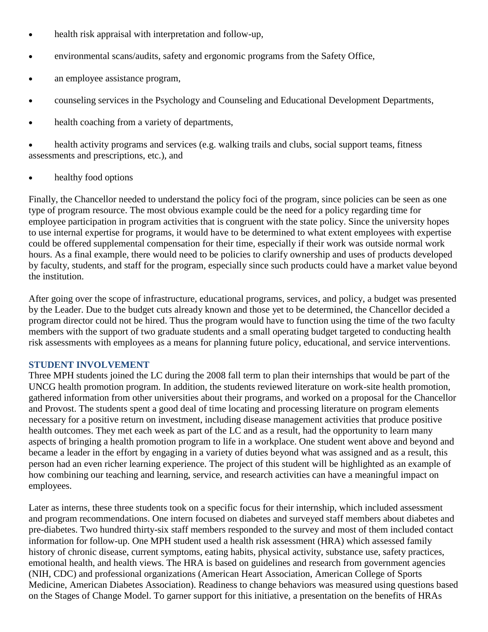- health risk appraisal with interpretation and follow-up,
- environmental scans/audits, safety and ergonomic programs from the Safety Office,
- an employee assistance program,
- counseling services in the Psychology and Counseling and Educational Development Departments,
- health coaching from a variety of departments,

 health activity programs and services (e.g. walking trails and clubs, social support teams, fitness assessments and prescriptions, etc.), and

• healthy food options

Finally, the Chancellor needed to understand the policy foci of the program, since policies can be seen as one type of program resource. The most obvious example could be the need for a policy regarding time for employee participation in program activities that is congruent with the state policy. Since the university hopes to use internal expertise for programs, it would have to be determined to what extent employees with expertise could be offered supplemental compensation for their time, especially if their work was outside normal work hours. As a final example, there would need to be policies to clarify ownership and uses of products developed by faculty, students, and staff for the program, especially since such products could have a market value beyond the institution.

After going over the scope of infrastructure, educational programs, services, and policy, a budget was presented by the Leader. Due to the budget cuts already known and those yet to be determined, the Chancellor decided a program director could not be hired. Thus the program would have to function using the time of the two faculty members with the support of two graduate students and a small operating budget targeted to conducting health risk assessments with employees as a means for planning future policy, educational, and service interventions.

## **STUDENT INVOLVEMENT**

Three MPH students joined the LC during the 2008 fall term to plan their internships that would be part of the UNCG health promotion program. In addition, the students reviewed literature on work-site health promotion, gathered information from other universities about their programs, and worked on a proposal for the Chancellor and Provost. The students spent a good deal of time locating and processing literature on program elements necessary for a positive return on investment, including disease management activities that produce positive health outcomes. They met each week as part of the LC and as a result, had the opportunity to learn many aspects of bringing a health promotion program to life in a workplace. One student went above and beyond and became a leader in the effort by engaging in a variety of duties beyond what was assigned and as a result, this person had an even richer learning experience. The project of this student will be highlighted as an example of how combining our teaching and learning, service, and research activities can have a meaningful impact on employees.

Later as interns, these three students took on a specific focus for their internship, which included assessment and program recommendations. One intern focused on diabetes and surveyed staff members about diabetes and pre-diabetes. Two hundred thirty-six staff members responded to the survey and most of them included contact information for follow-up. One MPH student used a health risk assessment (HRA) which assessed family history of chronic disease, current symptoms, eating habits, physical activity, substance use, safety practices, emotional health, and health views. The HRA is based on guidelines and research from government agencies (NIH, CDC) and professional organizations (American Heart Association, American College of Sports Medicine, American Diabetes Association). Readiness to change behaviors was measured using questions based on the Stages of Change Model. To garner support for this initiative, a presentation on the benefits of HRAs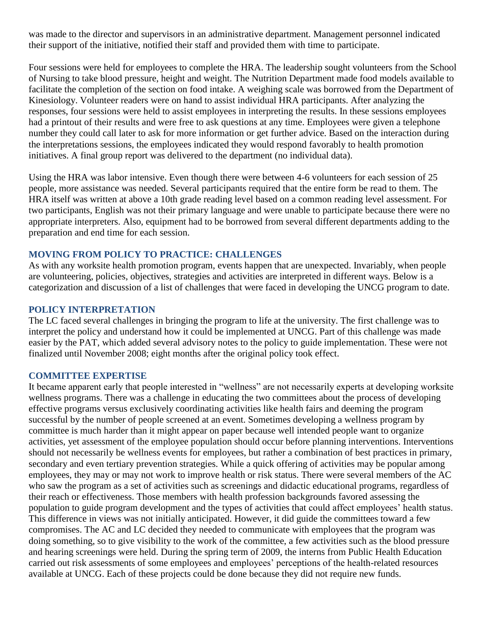was made to the director and supervisors in an administrative department. Management personnel indicated their support of the initiative, notified their staff and provided them with time to participate.

Four sessions were held for employees to complete the HRA. The leadership sought volunteers from the School of Nursing to take blood pressure, height and weight. The Nutrition Department made food models available to facilitate the completion of the section on food intake. A weighing scale was borrowed from the Department of Kinesiology. Volunteer readers were on hand to assist individual HRA participants. After analyzing the responses, four sessions were held to assist employees in interpreting the results. In these sessions employees had a printout of their results and were free to ask questions at any time. Employees were given a telephone number they could call later to ask for more information or get further advice. Based on the interaction during the interpretations sessions, the employees indicated they would respond favorably to health promotion initiatives. A final group report was delivered to the department (no individual data).

Using the HRA was labor intensive. Even though there were between 4-6 volunteers for each session of 25 people, more assistance was needed. Several participants required that the entire form be read to them. The HRA itself was written at above a 10th grade reading level based on a common reading level assessment. For two participants, English was not their primary language and were unable to participate because there were no appropriate interpreters. Also, equipment had to be borrowed from several different departments adding to the preparation and end time for each session.

## **MOVING FROM POLICY TO PRACTICE: CHALLENGES**

As with any worksite health promotion program, events happen that are unexpected. Invariably, when people are volunteering, policies, objectives, strategies and activities are interpreted in different ways. Below is a categorization and discussion of a list of challenges that were faced in developing the UNCG program to date.

#### **POLICY INTERPRETATION**

The LC faced several challenges in bringing the program to life at the university. The first challenge was to interpret the policy and understand how it could be implemented at UNCG. Part of this challenge was made easier by the PAT, which added several advisory notes to the policy to guide implementation. These were not finalized until November 2008; eight months after the original policy took effect.

#### **COMMITTEE EXPERTISE**

It became apparent early that people interested in "wellness" are not necessarily experts at developing worksite wellness programs. There was a challenge in educating the two committees about the process of developing effective programs versus exclusively coordinating activities like health fairs and deeming the program successful by the number of people screened at an event. Sometimes developing a wellness program by committee is much harder than it might appear on paper because well intended people want to organize activities, yet assessment of the employee population should occur before planning interventions. Interventions should not necessarily be wellness events for employees, but rather a combination of best practices in primary, secondary and even tertiary prevention strategies. While a quick offering of activities may be popular among employees, they may or may not work to improve health or risk status. There were several members of the AC who saw the program as a set of activities such as screenings and didactic educational programs, regardless of their reach or effectiveness. Those members with health profession backgrounds favored assessing the population to guide program development and the types of activities that could affect employees' health status. This difference in views was not initially anticipated. However, it did guide the committees toward a few compromises. The AC and LC decided they needed to communicate with employees that the program was doing something, so to give visibility to the work of the committee, a few activities such as the blood pressure and hearing screenings were held. During the spring term of 2009, the interns from Public Health Education carried out risk assessments of some employees and employees" perceptions of the health-related resources available at UNCG. Each of these projects could be done because they did not require new funds.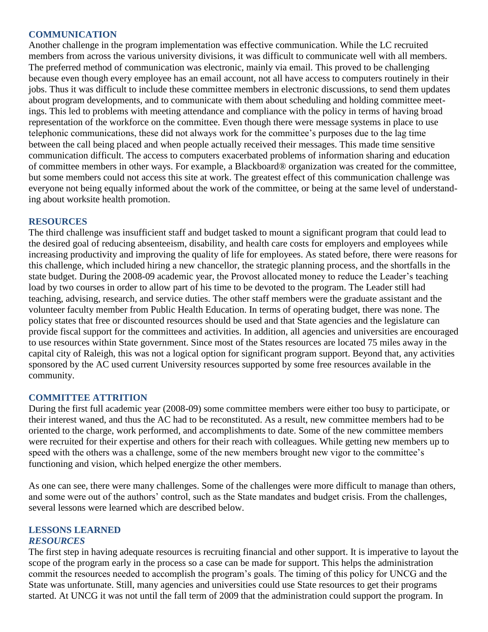#### **COMMUNICATION**

Another challenge in the program implementation was effective communication. While the LC recruited members from across the various university divisions, it was difficult to communicate well with all members. The preferred method of communication was electronic, mainly via email. This proved to be challenging because even though every employee has an email account, not all have access to computers routinely in their jobs. Thus it was difficult to include these committee members in electronic discussions, to send them updates about program developments, and to communicate with them about scheduling and holding committee meetings. This led to problems with meeting attendance and compliance with the policy in terms of having broad representation of the workforce on the committee. Even though there were message systems in place to use telephonic communications, these did not always work for the committee"s purposes due to the lag time between the call being placed and when people actually received their messages. This made time sensitive communication difficult. The access to computers exacerbated problems of information sharing and education of committee members in other ways. For example, a Blackboard® organization was created for the committee, but some members could not access this site at work. The greatest effect of this communication challenge was everyone not being equally informed about the work of the committee, or being at the same level of understanding about worksite health promotion.

## **RESOURCES**

The third challenge was insufficient staff and budget tasked to mount a significant program that could lead to the desired goal of reducing absenteeism, disability, and health care costs for employers and employees while increasing productivity and improving the quality of life for employees. As stated before, there were reasons for this challenge, which included hiring a new chancellor, the strategic planning process, and the shortfalls in the state budget. During the 2008-09 academic year, the Provost allocated money to reduce the Leader"s teaching load by two courses in order to allow part of his time to be devoted to the program. The Leader still had teaching, advising, research, and service duties. The other staff members were the graduate assistant and the volunteer faculty member from Public Health Education. In terms of operating budget, there was none. The policy states that free or discounted resources should be used and that State agencies and the legislature can provide fiscal support for the committees and activities. In addition, all agencies and universities are encouraged to use resources within State government. Since most of the States resources are located 75 miles away in the capital city of Raleigh, this was not a logical option for significant program support. Beyond that, any activities sponsored by the AC used current University resources supported by some free resources available in the community.

## **COMMITTEE ATTRITION**

During the first full academic year (2008-09) some committee members were either too busy to participate, or their interest waned, and thus the AC had to be reconstituted. As a result, new committee members had to be oriented to the charge, work performed, and accomplishments to date. Some of the new committee members were recruited for their expertise and others for their reach with colleagues. While getting new members up to speed with the others was a challenge, some of the new members brought new vigor to the committee's functioning and vision, which helped energize the other members.

As one can see, there were many challenges. Some of the challenges were more difficult to manage than others, and some were out of the authors' control, such as the State mandates and budget crisis. From the challenges, several lessons were learned which are described below.

#### **LESSONS LEARNED** *RESOURCES*

The first step in having adequate resources is recruiting financial and other support. It is imperative to layout the scope of the program early in the process so a case can be made for support. This helps the administration commit the resources needed to accomplish the program"s goals. The timing of this policy for UNCG and the State was unfortunate. Still, many agencies and universities could use State resources to get their programs started. At UNCG it was not until the fall term of 2009 that the administration could support the program. In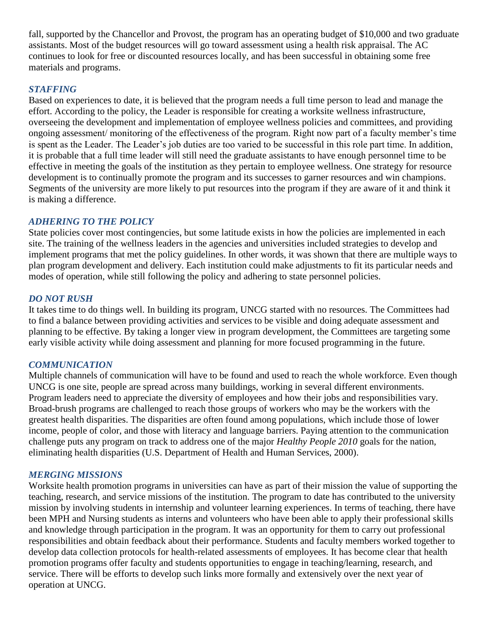fall, supported by the Chancellor and Provost, the program has an operating budget of \$10,000 and two graduate assistants. Most of the budget resources will go toward assessment using a health risk appraisal. The AC continues to look for free or discounted resources locally, and has been successful in obtaining some free materials and programs.

## *STAFFING*

Based on experiences to date, it is believed that the program needs a full time person to lead and manage the effort. According to the policy, the Leader is responsible for creating a worksite wellness infrastructure, overseeing the development and implementation of employee wellness policies and committees, and providing ongoing assessment/ monitoring of the effectiveness of the program. Right now part of a faculty member"s time is spent as the Leader. The Leader"s job duties are too varied to be successful in this role part time. In addition, it is probable that a full time leader will still need the graduate assistants to have enough personnel time to be effective in meeting the goals of the institution as they pertain to employee wellness. One strategy for resource development is to continually promote the program and its successes to garner resources and win champions. Segments of the university are more likely to put resources into the program if they are aware of it and think it is making a difference.

## *ADHERING TO THE POLICY*

State policies cover most contingencies, but some latitude exists in how the policies are implemented in each site. The training of the wellness leaders in the agencies and universities included strategies to develop and implement programs that met the policy guidelines. In other words, it was shown that there are multiple ways to plan program development and delivery. Each institution could make adjustments to fit its particular needs and modes of operation, while still following the policy and adhering to state personnel policies.

## *DO NOT RUSH*

It takes time to do things well. In building its program, UNCG started with no resources. The Committees had to find a balance between providing activities and services to be visible and doing adequate assessment and planning to be effective. By taking a longer view in program development, the Committees are targeting some early visible activity while doing assessment and planning for more focused programming in the future.

## *COMMUNICATION*

Multiple channels of communication will have to be found and used to reach the whole workforce. Even though UNCG is one site, people are spread across many buildings, working in several different environments. Program leaders need to appreciate the diversity of employees and how their jobs and responsibilities vary. Broad-brush programs are challenged to reach those groups of workers who may be the workers with the greatest health disparities. The disparities are often found among populations, which include those of lower income, people of color, and those with literacy and language barriers. Paying attention to the communication challenge puts any program on track to address one of the major *Healthy People 2010* goals for the nation, eliminating health disparities (U.S. Department of Health and Human Services, 2000).

## *MERGING MISSIONS*

Worksite health promotion programs in universities can have as part of their mission the value of supporting the teaching, research, and service missions of the institution. The program to date has contributed to the university mission by involving students in internship and volunteer learning experiences. In terms of teaching, there have been MPH and Nursing students as interns and volunteers who have been able to apply their professional skills and knowledge through participation in the program. It was an opportunity for them to carry out professional responsibilities and obtain feedback about their performance. Students and faculty members worked together to develop data collection protocols for health-related assessments of employees. It has become clear that health promotion programs offer faculty and students opportunities to engage in teaching/learning, research, and service. There will be efforts to develop such links more formally and extensively over the next year of operation at UNCG.